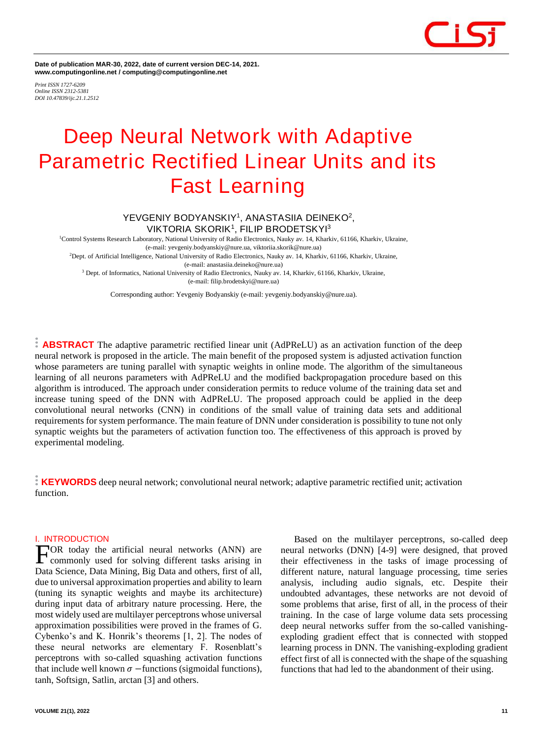

**Date of publication MAR-30, 2022, date of current version DEC-14, 2021. www.computingonline.net / computing@computingonline.net**

*Print ISSN 1727-6209 Online ISSN 2312-5381 DOI 10.47839/ijc.21.1.2512*

# **Deep Neural Network with Adaptive Parametric Rectified Linear Units and its Fast Learning**

## **YEVGENIY BODYANSKIY<sup>1</sup> , ANASTASIIA DEINEKO<sup>2</sup> , VIKTORIA SKORIK<sup>1</sup> , FILIP BRODETSKYI<sup>3</sup>**

<sup>1</sup>Control Systems Research Laboratory, National University of Radio Electronics, Nauky av. 14, Kharkiv, 61166, Kharkiv, Ukraine,

(e-mail: yevgeniy.bodyanskiy@nure.ua, viktoriia.skorik@nure.ua)

<sup>2</sup>Dept. of Artificial Intelligence, National University of Radio Electronics, Nauky av. 14, Kharkiv, 61166, Kharkiv, Ukraine, (e-mail: anastasiia.deineko@nure.ua)

<sup>3</sup> Dept. of Informatics, National University of Radio Electronics, Nauky av. 14, Kharkiv, 61166, Kharkiv, Ukraine, (e-mail: filip.brodetskyi@nure.ua)

Corresponding author: Yevgeniy Bodyanskiy (e-mail: yevgeniy.bodyanskiy@nure.ua).

**ABSTRACT** The adaptive parametric rectified linear unit (AdPReLU) as an activation function of the deep neural network is proposed in the article. The main benefit of the proposed system is adjusted activation function whose parameters are tuning parallel with synaptic weights in online mode. The algorithm of the simultaneous learning of all neurons parameters with AdPReLU and the modified backpropagation procedure based on this algorithm is introduced. The approach under consideration permits to reduce volume of the training data set and increase tuning speed of the DNN with AdPReLU. The proposed approach could be applied in the deep convolutional neural networks (CNN) in conditions of the small value of training data sets and additional requirements for system performance. The main feature of DNN under consideration is possibility to tune not only synaptic weights but the parameters of activation function too. The effectiveness of this approach is proved by experimental modeling.

**KEYWORDS** deep neural network; convolutional neural network; adaptive parametric rectified unit; activation function.

### **I. INTRODUCTION**

OR today the artificial neural networks (ANN) are commonly used for solving different tasks arising in Data Science, Data Mining, Big Data and others, first of all, due to universal approximation properties and ability to learn (tuning its synaptic weights and maybe its architecture) during input data of arbitrary nature processing. Here, the most widely used are multilayer perceptrons whose universal approximation possibilities were proved in the frames of G. Cybenko's and K. Honrik's theorems [1, 2]. The nodes of these neural networks are elementary F. Rosenblatt's perceptrons with so-called squashing activation functions that include well known  $\sigma$  –functions (sigmoidal functions), tanh, Softsign, Satlin, arctan [3] and others. F

Based on the multilayer perceptrons, so-called deep neural networks (DNN) [4-9] were designed, that proved their effectiveness in the tasks of image processing of different nature, natural language processing, time series analysis, including audio signals, etc. Despite their undoubted advantages, these networks are not devoid of some problems that arise, first of all, in the process of their training. In the case of large volume data sets processing deep neural networks suffer from the so-called vanishingexploding gradient effect that is connected with stopped learning process in DNN. The vanishing-exploding gradient effect first of all is connected with the shape of the squashing functions that had led to the abandonment of their using.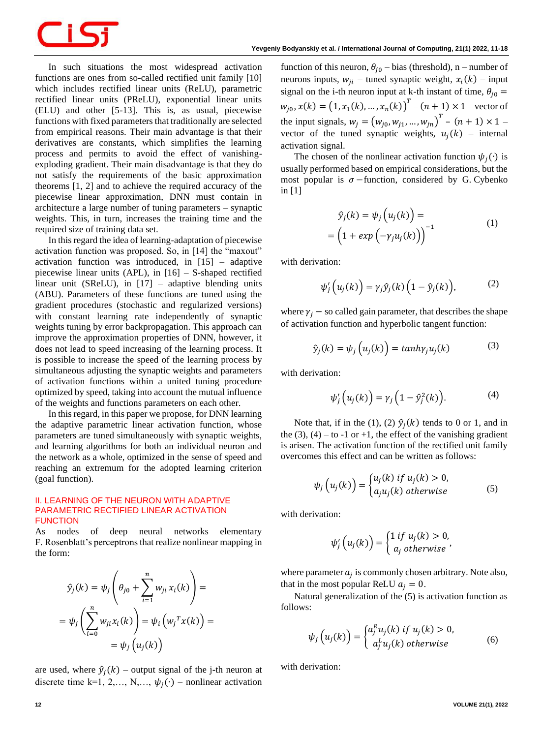In such situations the most widespread activation functions are ones from so-called rectified unit family [10] which includes rectified linear units (ReLU), parametric rectified linear units (PReLU), exponential linear units (ELU) and other [5-13]. This is, as usual, piecewise functions with fixed parameters that traditionally are selected from empirical reasons. Their main advantage is that their derivatives are constants, which simplifies the learning process and permits to avoid the effect of vanishingexploding gradient. Their main disadvantage is that they do not satisfy the requirements of the basic approximation theorems [1, 2] and to achieve the required accuracy of the piecewise linear approximation, DNN must contain in architecture a large number of tuning parameters – synaptic weights. This, in turn, increases the training time and the required size of training data set.

In this regard the idea of learning-adaptation of piecewise activation function was proposed. So, in [14] the "maxout" activation function was introduced, in [15] – adaptive piecewise linear units (APL), in [16] – S-shaped rectified linear unit (SReLU), in [17] – adaptive blending units (ABU). Parameters of these functions are tuned using the gradient procedures (stochastic and regularized versions) with constant learning rate independently of synaptic weights tuning by error backpropagation. This approach can improve the approximation properties of DNN, however, it does not lead to speed increasing of the learning process. It is possible to increase the speed of the learning process by simultaneous adjusting the synaptic weights and parameters of activation functions within a united tuning procedure optimized by speed, taking into account the mutual influence of the weights and functions parameters on each other.

In this regard, in this paper we propose, for DNN learning the adaptive parametric linear activation function, whose parameters are tuned simultaneously with synaptic weights, and learning algorithms for both an individual neuron and the network as a whole, optimized in the sense of speed and reaching an extremum for the adopted learning criterion (goal function).

### **II. LEARNING OF THE NEURON WITH ADAPTIVE PARAMETRIC RECTIFIED LINEAR ACTIVATION FUNCTION**

As nodes of deep neural networks elementary F. Rosenblatt's perceptrons that realize nonlinear mapping in the form:

$$
\hat{y}_j(k) = \psi_j \left( \theta_{j0} + \sum_{i=1}^n w_{ji} x_i(k) \right) =
$$

$$
= \psi_j \left( \sum_{i=0}^n w_{ji} x_i(k) \right) = \psi_i \left( w_j^T x(k) \right) =
$$

$$
= \psi_j \left( u_j(k) \right)
$$

are used, where  $\hat{y}_j(k)$  – output signal of the j-th neuron at discrete time k=1, 2,..., N,...,  $\psi_i(\cdot)$  – nonlinear activation

function of this neuron,  $\theta_{i0}$  – bias (threshold), n – number of neurons inputs,  $w_{ji}$  – tuned synaptic weight,  $x_i(k)$  – input signal on the i-th neuron input at k-th instant of time,  $\theta_{j0} =$  $w_{j0}, x(k) = (1, x_1(k), ..., x_n(k))^{T} - (n + 1) \times 1$  – vector of the input signals,  $w_j = (w_{j0}, w_{j1}, ..., w_{jn})^T - (n + 1) \times 1$ vector of the tuned synaptic weights,  $u_j(k)$  – internal activation signal.

The chosen of the nonlinear activation function  $\psi_i(\cdot)$  is usually performed based on empirical considerations, but the most popular is  $\sigma$  –function, considered by G. Cybenko in [1]

$$
\hat{y}_j(k) = \psi_j \left( u_j(k) \right) =
$$
\n
$$
= \left( 1 + exp \left( -\gamma_j u_j(k) \right) \right)^{-1}
$$
\n(1)

with derivation:

$$
\psi'_j\left(u_j(k)\right) = \gamma_j \hat{y}_j(k)\left(1 - \hat{y}_j(k)\right),\tag{2}
$$

where  $\gamma_i$  – so called gain parameter, that describes the shape of activation function and hyperbolic tangent function:

$$
\hat{y}_j(k) = \psi_j\left(u_j(k)\right) = \tanh\gamma_j u_j(k) \tag{3}
$$

with derivation:

$$
\psi'_j\left(u_j(k)\right) = \gamma_j\left(1 - \hat{y}_j^2(k)\right). \tag{4}
$$

Note that, if in the (1), (2)  $\hat{y}_j(k)$  tends to 0 or 1, and in the (3), (4) – to -1 or +1, the effect of the vanishing gradient is arisen. The activation function of the rectified unit family overcomes this effect and can be written as follows:

$$
\psi_j\left(u_j(k)\right) = \begin{cases} u_j(k) \text{ if } u_j(k) > 0, \\ a_j u_j(k) \text{ otherwise} \end{cases}
$$
 (5)

with derivation:

$$
\psi'_j\left(u_j(k)\right) = \begin{cases} 1 \text{ if } u_j(k) > 0, \\ a_j \text{ otherwise} \end{cases}
$$

where parameter  $a_j$  is commonly chosen arbitrary. Note also, that in the most popular ReLU  $a_i = 0$ .

Natural generalization of the (5) is activation function as follows:

$$
\psi_j\left(u_j(k)\right) = \begin{cases} a_j^R u_j(k) & \text{if } u_j(k) > 0, \\ a_j^L u_j(k) & \text{otherwise} \end{cases}
$$
(6)

with derivation: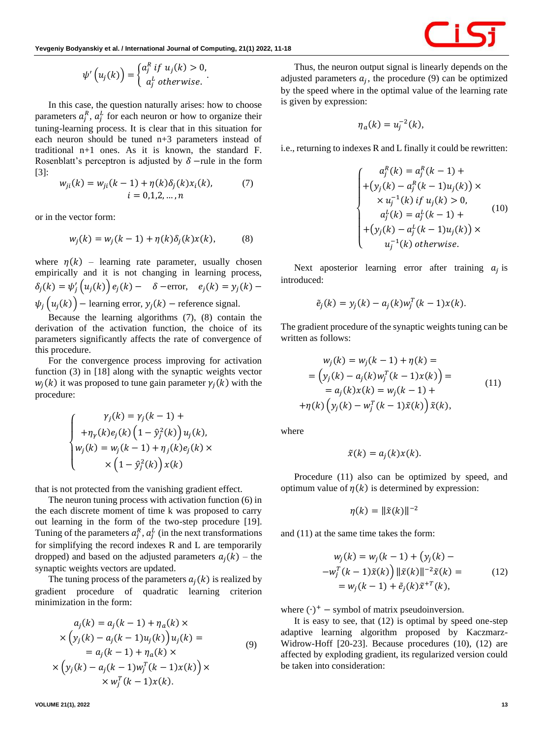$$
\psi'\left(u_j(k)\right) = \begin{cases} a_j^R & \text{if } u_j(k) > 0, \\ a_j^L & \text{otherwise.} \end{cases}
$$

In this case, the question naturally arises: how to choose parameters  $a_j^R$ ,  $a_j^L$  for each neuron or how to organize their tuning-learning process. It is clear that in this situation for each neuron should be tuned n+3 parameters instead of traditional n+1 ones. As it is known, the standard F. Rosenblatt's perceptron is adjusted by  $\delta$  –rule in the form [3]:

$$
w_{ji}(k) = w_{ji}(k-1) + \eta(k)\delta_j(k)x_i(k),
$$
  
  $i = 0,1,2,...,n$  (7)

or in the vector form:

$$
w_j(k) = w_j(k-1) + \eta(k)\delta_j(k)x(k), \qquad (8)
$$

where  $\eta(k)$  – learning rate parameter, usually chosen empirically and it is not changing in learning process,  $\delta_j(k) = \psi'_j(u_j(k)) e_j(k) - \delta$  – error,  $e_j(k) = y_j(k)$  –  $\psi_j\left(u_j(k)\right)$  – learning error,  $y_j(k)$  – reference signal.

Because the learning algorithms (7), (8) contain the derivation of the activation function, the choice of its parameters significantly affects the rate of convergence of this procedure.

For the convergence process improving for activation function (3) in [18] along with the synaptic weights vector  $w_j(k)$  it was proposed to tune gain parameter  $\gamma_j(k)$  with the procedure:

$$
\begin{cases}\n\gamma_j(k) = \gamma_j(k-1) + \\
+\eta_{\gamma}(k)e_j(k)\left(1-\hat{y}_j^2(k)\right)u_j(k), \\
w_j(k) = w_j(k-1) + \eta_j(k)e_j(k) \times \\
\times \left(1-\hat{y}_j^2(k)\right)x(k)\n\end{cases}
$$

that is not protected from the vanishing gradient effect.

The neuron tuning process with activation function (6) in the each discrete moment of time k was proposed to carry out learning in the form of the two-step procedure [19]. Tuning of the parameters  $a_j^R$ ,  $a_j^L$  (in the next transformations for simplifying the record indexes R and L are temporarily dropped) and based on the adjusted parameters  $a_i(k)$  – the synaptic weights vectors are updated.

The tuning process of the parameters  $a_i(k)$  is realized by gradient procedure of quadratic learning criterion minimization in the form:

$$
a_j(k) = a_j(k-1) + \eta_a(k) \times
$$
  
\n
$$
\times \left( y_j(k) - a_j(k-1)u_j(k) \right) u_j(k) =
$$
  
\n
$$
= a_j(k-1) + \eta_a(k) \times
$$
  
\n
$$
\times \left( y_j(k) - a_j(k-1)w_j^T(k-1)x(k) \right) \times
$$
  
\n
$$
\times w_j^T(k-1)x(k).
$$
\n(9)

Thus, the neuron output signal is linearly depends on the adjusted parameters  $a_j$ , the procedure (9) can be optimized by the speed where in the optimal value of the learning rate is given by expression:

$$
\eta_a(k) = u_j^{-2}(k),
$$

i.e., returning to indexes R and L finally it could be rewritten:

$$
a_j^R(k) = a_j^R(k - 1) +
$$
  
+ $(y_j(k) - a_j^R(k - 1)u_j(k)) \times$   
 $\times u_j^{-1}(k)$  if  $u_j(k) > 0$ ,  
 $a_j^L(k) = a_j^L(k - 1) +$   
+ $(y_j(k) - a_j^L(k - 1)u_j(k)) \times$   
 $u_j^{-1}(k)$  otherwise. (10)

Next aposterior learning error after training  $a_j$  is introduced:

$$
\tilde{e}_j(k) = y_j(k) - a_j(k)w_j^T(k-1)x(k).
$$

The gradient procedure of the synaptic weights tuning can be written as follows:

$$
w_j(k) = w_j(k - 1) + \eta(k) =
$$
  
=  $(y_j(k) - a_j(k)w_j^T(k - 1)x(k)) =$   
=  $a_j(k)x(k) = w_j(k - 1) +$   
+  $\eta(k) (y_j(k) - w_j^T(k - 1)\tilde{x}(k)) \tilde{x}(k),$  (11)

where

$$
\tilde{x}(k) = a_j(k)x(k).
$$

Procedure (11) also can be optimized by speed, and optimum value of  $\eta(k)$  is determined by expression:

$$
\eta(k) = \|\tilde{x}(k)\|^{-2}
$$

and (11) at the same time takes the form:

$$
w_j(k) = w_j(k - 1) + (y_j(k) - 1)w_j^T(k - 1)\tilde{x}(k) = w_j(k - 1) + \tilde{e}_j(k)\tilde{x}^{+T}(k),
$$
\n(12)

where  $(·)^+$  – symbol of matrix pseudoinversion.

It is easy to see, that (12) is optimal by speed one-step adaptive learning algorithm proposed by Kaczmarz-Widrow-Hoff [20-23]. Because procedures (10), (12) are affected by exploding gradient, its regularized version could be taken into consideration: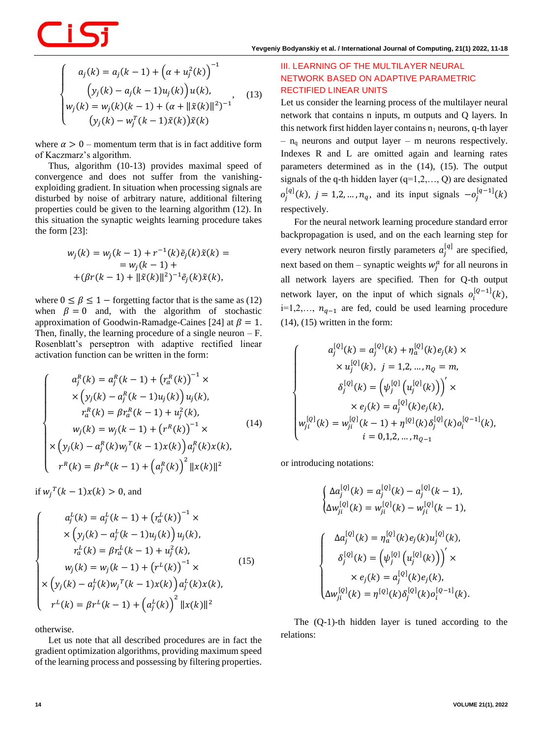$$
\begin{cases}\na_j(k) = a_j(k-1) + (\alpha + u_j^2(k))^{-1} \\
(y_j(k) - a_j(k-1)u_j(k))u(k), \\
w_j(k) = w_j(k)(k-1) + (\alpha + ||\tilde{x}(k)||^2)^{-1} \\
(y_j(k) - w_j^T(k-1)\tilde{x}(k))\tilde{x}(k)\n\end{cases}
$$
\n(13)

where  $\alpha > 0$  – momentum term that is in fact additive form of Kaczmarz's algorithm.

Thus, algorithm (10-13) provides maximal speed of convergence and does not suffer from the vanishingexploiding gradient. In situation when processing signals are disturbed by noise of arbitrary nature, additional filtering properties could be given to the learning algorithm (12). In this situation the synaptic weights learning procedure takes the form [23]:

$$
w_j(k) = w_j(k - 1) + r^{-1}(k)\tilde{e}_j(k)\tilde{x}(k) =
$$
  
=  $w_j(k - 1) +$   
+  $(\beta r(k - 1) + ||\tilde{x}(k)||^2)^{-1}\tilde{e}_j(k)\tilde{x}(k),$ 

where  $0 \le \beta \le 1$  – forgetting factor that is the same as (12) when  $\beta = 0$  and, with the algorithm of stochastic approximation of Goodwin-Ramadge-Caines [24] at  $\beta = 1$ . Then, finally, the learning procedure of a single neuron  $- F$ . Rosenblatt's perseptron with adaptive rectified linear activation function can be written in the form:

$$
\begin{cases}\na_j^R(k) = a_j^R(k-1) + (r_a^R(k))^{-1} \times \\
\times (y_j(k) - a_j^R(k-1)u_j(k))u_j(k), \\
r_a^R(k) = \beta r_a^R(k-1) + u_j^2(k), \\
w_j(k) = w_j(k-1) + (r^R(k))^{-1} \times \\
\times (y_j(k) - a_j^R(k)w_j^T(k-1)x(k))a_j^R(k)x(k), \\
r^R(k) = \beta r^R(k-1) + (a_j^R(k))^2 ||x(k)||^2\n\end{cases}
$$
\n(14)

if  $w_j^T(k-1)x(k) > 0$ , and

$$
\begin{cases}\na_j^L(k) = a_j^L(k-1) + (r_a^L(k))^{-1} \times \\
\times (y_j(k) - a_j^L(k-1)u_j(k))u_j(k), \\
r_a^L(k) = \beta r_a^L(k-1) + u_j^2(k), \\
w_j(k) = w_j(k-1) + (r^L(k))^{-1} \times \\
\times (y_j(k) - a_j^L(k)w_j^T(k-1)x(k))a_j^L(k)x(k), \\
r^L(k) = \beta r^L(k-1) + (a_j^L(k))^2 ||x(k)||^2\n\end{cases}
$$
\n(15)

otherwise.

Let us note that all described procedures are in fact the gradient optimization algorithms, providing maximum speed of the learning process and possessing by filtering properties.

# **III. LEARNING OF THE MULTILAYER NEURAL NETWORK BASED ON ADAPTIVE PARAMETRIC RECTIFIED LINEAR UNITS**

Let us consider the learning process of the multilayer neural network that contains n inputs, m outputs and Q layers. In this network first hidden layer contains  $n_1$  neurons, q-th layer  $-$  n<sub>q</sub> neurons and output layer – m neurons respectively. Indexes R and L are omitted again and learning rates parameters determined as in the (14), (15). The output signals of the q-th hidden layer  $(q=1,2,..., Q)$  are designated  $o_j^{[q]}(k)$ ,  $j = 1, 2, ..., n_q$ , and its input signals  $-o_j^{[q-1]}(k)$ respectively.

For the neural network learning procedure standard error backpropagation is used, and on the each learning step for every network neuron firstly parameters  $a_j^{[q]}$  are specified, next based on them – synaptic weights  $w_j^a$  for all neurons in all network layers are specified. Then for Q-th output network layer, on the input of which signals  $o_i^{[Q-1]}(k)$ , i=1,2,...,  $n_{q-1}$  are fed, could be used learning procedure  $(14)$ ,  $(15)$  written in the form:

$$
\begin{cases}\na_j^{[Q]}(k) = a_j^{[Q]}(k) + \eta_a^{[Q]}(k)e_j(k) \times \\
& \times u_j^{[Q]}(k), j = 1, 2, ..., n_Q = m, \\
& \delta_j^{[Q]}(k) = (\psi_j^{[Q]}(u_j^{[Q]}(k)))' \times \\
& \times e_j(k) = a_j^{[Q]}(k)e_j(k), \\
w_{ji}^{[Q]}(k) = w_{ji}^{[Q]}(k-1) + \eta^{[Q]}(k)\delta_j^{[Q]}(k)e_j^{[Q-1]}(k), \\
& i = 0, 1, 2, ..., n_{Q-1}\n\end{cases}
$$

or introducing notations:

$$
\begin{cases}\n\Delta a_j^{[Q]}(k) = a_j^{[Q]}(k) - a_j^{[Q]}(k-1), \\
\Delta w_{ji}^{[Q]}(k) = w_{ji}^{[Q]}(k) - w_{ji}^{[Q]}(k-1), \\
\Delta a_j^{[Q]}(k) = \eta_a^{[Q]}(k) e_j(k) u_j^{[Q]}(k), \\
\delta_j^{[Q]}(k) = \left(\psi_j^{[Q]}(u_j^{[Q]}(k))\right)' \times \\
\times e_j(k) = a_j^{[Q]}(k) e_j(k), \\
\Delta w_{ji}^{[Q]}(k) = \eta^{[Q]}(k) \delta_j^{[Q]}(k) o_i^{[Q-1]}(k).\n\end{cases}
$$

The (Q-1)-th hidden layer is tuned according to the relations: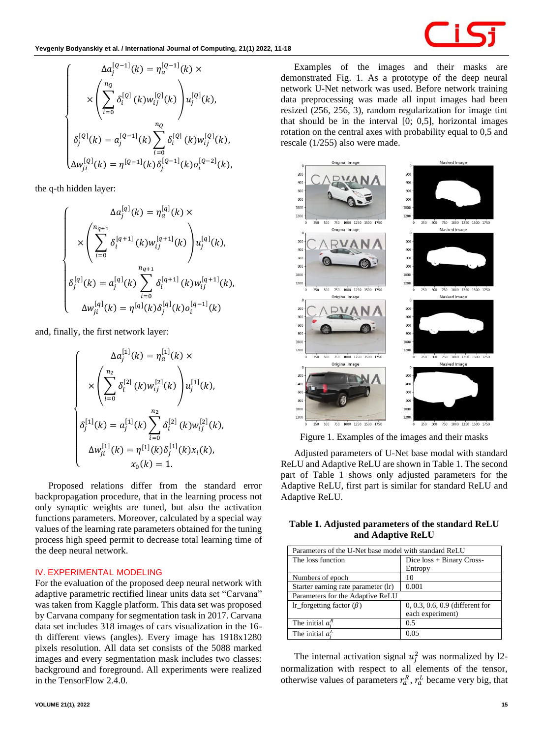

$$
\begin{cases}\n\Delta a_j^{[Q-1]}(k) = \eta_a^{[Q-1]}(k) \times \\
\times \left( \sum_{i=0}^{n_Q} \delta_i^{[Q]}(k) w_{ij}^{[Q]}(k) \right) u_j^{[Q]}(k), \\
\delta_j^{[Q]}(k) = a_j^{[Q-1]}(k) \sum_{i=0}^{n_Q} \delta_i^{[Q]}(k) w_{ij}^{[Q]}(k), \\
\Delta w_{ji}^{[Q]}(k) = \eta^{[Q-1]}(k) \delta_j^{[Q-1]}(k) o_i^{[Q-2]}(k),\n\end{cases}
$$

the q-th hidden layer:

$$
\begin{cases}\n\Delta a_j^{[q]}(k) = \eta_a^{[q]}(k) \times \\
\times \left( \sum_{i=0}^{n_{q+1}} \delta_i^{[q+1]}(k) w_{ij}^{[q+1]}(k) \right) u_j^{[q]}(k), \\
\delta_j^{[q]}(k) = a_j^{[q]}(k) \sum_{i=0}^{n_{q+1}} \delta_i^{[q+1]}(k) w_{ij}^{[q+1]}(k), \\
\Delta w_{ji}^{[q]}(k) = \eta^{[q]}(k) \delta_j^{[q]}(k) o_i^{[q-1]}(k)\n\end{cases}
$$

and, finally, the first network layer:

$$
\begin{cases}\n\Delta a_j^{[1]}(k) = \eta_a^{[1]}(k) \times \\
\times \left( \sum_{i=0}^{n_2} \delta_i^{[2]}(k) w_{ij}^{[2]}(k) \right) u_j^{[1]}(k), \\
\delta_j^{[1]}(k) = a_j^{[1]}(k) \sum_{i=0}^{n_2} \delta_i^{[2]}(k) w_{ij}^{[2]}(k), \\
\Delta w_{ji}^{[1]}(k) = \eta^{[1]}(k) \delta_j^{[1]}(k) x_i(k), \\
x_0(k) = 1.\n\end{cases}
$$

Proposed relations differ from the standard error backpropagation procedure, that in the learning process not only synaptic weights are tuned, but also the activation functions parameters. Moreover, calculated by a special way values of the learning rate parameters obtained for the tuning process high speed permit to decrease total learning time of the deep neural network.

#### **IV. EXPERIMENTAL MODELING**

For the evaluation of the proposed deep neural network with adaptive parametric rectified linear units data set "Carvana" was taken from Kaggle platform. This data set was proposed by Carvana company for segmentation task in 2017. Carvana data set includes 318 images of cars visualization in the 16 th different views (angles). Every image has 1918x1280 pixels resolution. All data set consists of the 5088 marked images and every segmentation mask includes two classes: background and foreground. All experiments were realized in the TensorFlow 2.4.0.

demonstrated Fig. 1. As a prototype of the deep neural network U-Net network was used. Before network training data preprocessing was made all input images had been resized (256, 256, 3), random regularization for image tint that should be in the interval [0; 0,5], horizontal images rotation on the central axes with probability equal to 0,5 and rescale (1/255) also were made.

Examples of the images and their masks are



Figure 1. Examples of the images and their masks

Adjusted parameters of U-Net base modal with standard ReLU and Adaptive ReLU are shown in Table 1. The second part of Table 1 shows only adjusted parameters for the Adaptive ReLU, first part is similar for standard ReLU and Adaptive ReLU.

**Table 1. Adjusted parameters of the standard ReLU and Adaptive ReLU**

| Parameters of the U-Net base model with standard ReLU |                                 |  |  |  |
|-------------------------------------------------------|---------------------------------|--|--|--|
| The loss function                                     | Dice $loss + Binary Cross-$     |  |  |  |
|                                                       | Entropy                         |  |  |  |
| Numbers of epoch                                      | 10                              |  |  |  |
| Starter earning rate parameter (lr)                   | 0.001                           |  |  |  |
| Parameters for the Adaptive ReLU                      |                                 |  |  |  |
| Ir forgetting factor $(\beta)$                        | 0, 0.3, 0.6, 0.9 (different for |  |  |  |
|                                                       | each experiment)                |  |  |  |
| The initial $a_i^R$                                   | 0.5                             |  |  |  |
| The initial $a_i^L$                                   | 0.05                            |  |  |  |

The internal activation signal  $u_j^2$  was normalized by 12normalization with respect to all elements of the tensor, otherwise values of parameters  $r_a^R$ ,  $r_a^L$  became very big, that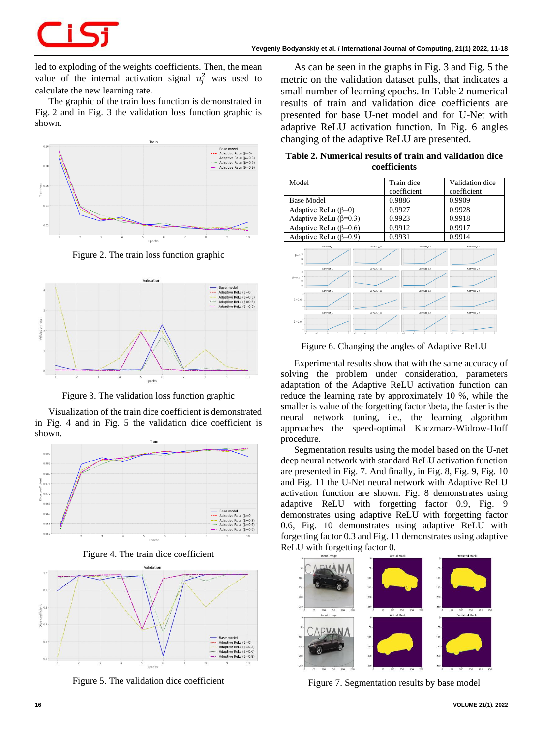led to exploding of the weights coefficients. Then, the mean value of the internal activation signal  $u_j^2$  was used to calculate the new learning rate.

The graphic of the train loss function is demonstrated in Fig. 2 and in Fig. 3 the validation loss function graphic is shown.



Figure 2. The train loss function graphic



Figure 3. The validation loss function graphic

Visualization of the train dice coefficient is demonstrated in Fig. 4 and in Fig. 5 the validation dice coefficient is shown.



Figure 4. The train dice coefficient



Figure 5. The validation dice coefficient

As can be seen in the graphs in Fig. 3 and Fig. 5 the metric on the validation dataset pulls, that indicates a small number of learning epochs. In Table 2 numerical results of train and validation dice coefficients are presented for base U-net model and for U-Net with adaptive ReLU activation function. In Fig. 6 angles changing of the adaptive ReLU are presented.

**Table 2. Numerical results of train and validation dice coefficients**

| Model                                                      |                                   |                          | Train dice<br>coefficient |                       | Validation dice<br>coefficient    |
|------------------------------------------------------------|-----------------------------------|--------------------------|---------------------------|-----------------------|-----------------------------------|
| <b>Base Model</b>                                          |                                   | 0.9886                   |                           | 0.9909                |                                   |
| Adaptive ReLu $(\beta=0)$                                  |                                   | 0.9927                   |                           | 0.9928                |                                   |
| Adaptive ReLu ( $\beta$ =0.3)                              |                                   | 0.9923                   |                           | 0.9918                |                                   |
| Adaptive ReLu ( $\beta$ =0.6)                              |                                   | 0.9912                   |                           | 0.9917                |                                   |
| Adaptive ReLu $(\beta=0.9)$                                |                                   | 0.9931                   |                           | 0.9914                |                                   |
| $15 -$<br>$\beta = 0^{10}$<br>65 F<br>co i-<br>15%         | $Cerv2D_1$<br>Carw2D <sub>1</sub> | $Conv2D_11$<br>Conv2D 11 |                           | Conv2D12<br>Conv2D 12 | Conv2D 22<br>Canv2D <sub>22</sub> |
| $\beta = 0.3$ <sup>10</sup><br>0.5<br>co i-<br>$B = 0.6$ : | Cerv2D1                           | $Conv2D$ 11              |                           | $Conv2D$ 12           | $Conv2D$ 22                       |
| $B=0.9$                                                    | Conv2D <sub>1</sub>               | Conv2D_11                |                           | Com/2D 12             | Conv2D 22                         |
|                                                            |                                   |                          |                           |                       |                                   |

Figure 6. Changing the angles of Adaptive ReLU

Experimental results show that with the same accuracy of solving the problem under consideration, parameters adaptation of the Adaptive ReLU activation function can reduce the learning rate by approximately 10 %, while the smaller is value of the forgetting factor \beta, the faster is the neural network tuning, i.e., the learning algorithm approaches the speed-optimal Kaczmarz-Widrow-Hoff procedure.

Segmentation results using the model based on the U-net deep neural network with standard ReLU activation function are presented in Fig. 7. And finally, in Fig. 8, Fig. 9, Fig. 10 and Fig. 11 the U-Net neural network with Adaptive ReLU activation function are shown. Fig. 8 demonstrates using adaptive ReLU with forgetting factor 0.9, Fig. 9 demonstrates using adaptive ReLU with forgetting factor 0.6, Fig. 10 demonstrates using adaptive ReLU with forgetting factor 0.3 and Fig. 11 demonstrates using adaptive ReLU with forgetting factor 0.



Figure 7. Segmentation results by base model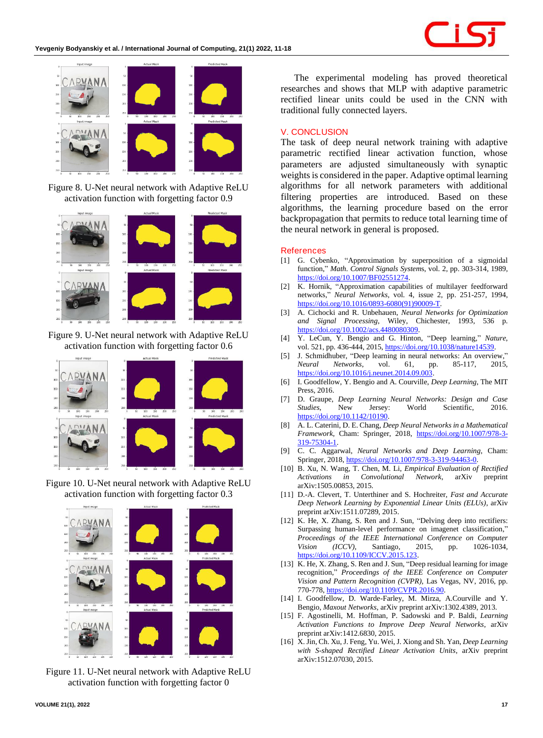

Figure 8. U-Net neural network with Adaptive ReLU activation function with forgetting factor 0.9



Figure 9. U-Net neural network with Adaptive ReLU activation function with forgetting factor 0.6



Figure 10. U-Net neural network with Adaptive ReLU activation function with forgetting factor 0.3



Figure 11. U-Net neural network with Adaptive ReLU activation function with forgetting factor 0

The experimental modeling has proved theoretical researches and shows that MLP with adaptive parametric rectified linear units could be used in the CNN with traditional fully connected layers.

### **V. CONCLUSION**

The task of deep neural network training with adaptive parametric rectified linear activation function, whose parameters are adjusted simultaneously with synaptic weights is considered in the paper. Adaptive optimal learning algorithms for all network parameters with additional filtering properties are introduced. Based on these algorithms, the learning procedure based on the error backpropagation that permits to reduce total learning time of the neural network in general is proposed.

### **References**

- [1] G. Cybenko, "Approximation by superposition of a sigmoidal function," *Math. Control Signals System*s, vol. 2, pp. 303-314, 1989, [https://doi.org/10.1007/BF02551274.](https://doi.org/10.1007/BF02551274)
- [2] K. Hornik, "Approximation capabilities of multilayer feedforward networks," *Neural Networks,* vol. 4, issue 2, pp. 251-257, 1994, [https://doi.org/10.1016/0893-6080\(91\)90009-T.](https://doi.org/10.1016/0893-6080(91)90009-T)
- [3] A. Cichocki and R. Unbehauen, *Neural Networks for Optimization and Signal Processing*, Wiley, Chichester, 1993, 536 p. [https://doi.org/10.1002/acs.4480080309.](https://doi.org/10.1002/acs.4480080309)
- [4] Y. LeCun, Y. Bengio and G. Hinton, "Deep learning," *Nature*, vol. 521, pp. 436-444, 2015[, https://doi.org/10.1038/nature14539.](https://doi.org/10.1038/nature14539)
- [5] J. Schmidhuber, "Deep learning in neural networks: An overview," *Neural Networks*, vol. 61, pp. 85-117, 2015, [https://doi.org/10.1016/j.neunet.2014.09.003.](https://doi.org/10.1016/j.neunet.2014.09.003)
- [6] I. Goodfellow, Y. Bengio and A. Courville, *Deep Learning*, The MIT Press, 2016.
- [7] D. Graupe, *Deep Learning Neural Networks: Design and Case Studies*, New Jersey: World Scientific, 2016. [https://doi.org/10.1142/10190.](https://doi.org/10.1142/10190)
- [8] A. L. Caterini, D. E. Chang, *Deep Neural Networks in a Mathematical Framework*, Cham: Springer, 2018, [https://doi.org/10.1007/978-3-](https://doi.org/10.1007/978-3-319-75304-1) [319-75304-1.](https://doi.org/10.1007/978-3-319-75304-1)
- [9] C. C. Aggarwal*, Neural Networks and Deep Learning*, Cham: Springer, 2018[, https://doi.org/10.1007/978-3-319-94463-0.](https://doi.org/10.1007/978-3-319-94463-0)
- [10] B. Xu, N. Wang, T. Chen, M. Li, *Empirical Evaluation of Rectified Activations in Convolutional Network*, arXiv preprint arXiv:1505.00853, 2015.
- [11] D.-A. Clevert, T. Unterthiner and S. Hochreiter, *Fast and Accurate Deep Network Learning by Exponential Linear Units (ELUs)*, arXiv preprint arXiv:1511.07289, 2015.
- [12] K. He, X. Zhang, S. Ren and J. Sun, "Delving deep into rectifiers: Surpassing human-level performance on imagenet classification," *Proceedings of the IEEE International Conference on Computer Vision (ICCV),* Santiago, 2015, pp. 1026-1034, https://doi.org/10.1109/ICCV.2015.123
- [13] K. He, X. Zhang, S. Ren and J. Sun, "Deep residual learning for image recognition," *Proceedings of the IEEE Conference on Computer Vision and Pattern Recognition (CVPR),* Las Vegas, NV, 2016, pp. 770-778[, https://doi.org/10.1109/CVPR.2016.90.](https://doi.org/10.1109/CVPR.2016.90)
- [14] I. Goodfellow, D. Warde-Farley, M. Mirza, A.Courville and Y. Bengio, *Maxout Networks*, arXiv preprint arXiv:1302.4389, 2013.
- [15] F. [Agostinelli,](https://arxiv.org/search/cs?searchtype=author&query=Agostinelli%2C+F) M. [Hoffman,](https://arxiv.org/search/cs?searchtype=author&query=Hoffman%2C+M) P. [Sadowski](https://arxiv.org/search/cs?searchtype=author&query=Sadowski%2C+P) and P. [Baldi,](https://arxiv.org/search/cs?searchtype=author&query=Baldi%2C+P) *Learning Activation Functions to Improve Deep Neural Networks*, arXiv preprint arXiv:1412.6830, 2015.
- [16] X[. Jin,](https://arxiv.org/search/cs?searchtype=author&query=Jin%2C+X) Ch[. Xu,](https://arxiv.org/search/cs?searchtype=author&query=Xu%2C+C) J[. Feng,](https://arxiv.org/search/cs?searchtype=author&query=Feng%2C+J) Yu[. Wei,](https://arxiv.org/search/cs?searchtype=author&query=Wei%2C+Y) J[. Xiong](https://arxiv.org/search/cs?searchtype=author&query=Xiong%2C+J) and Sh[. Yan,](https://arxiv.org/search/cs?searchtype=author&query=Yan%2C+S) *Deep Learning with S-shaped Rectified Linear Activation Units*, arXiv preprint arXiv:1512.07030, 2015.